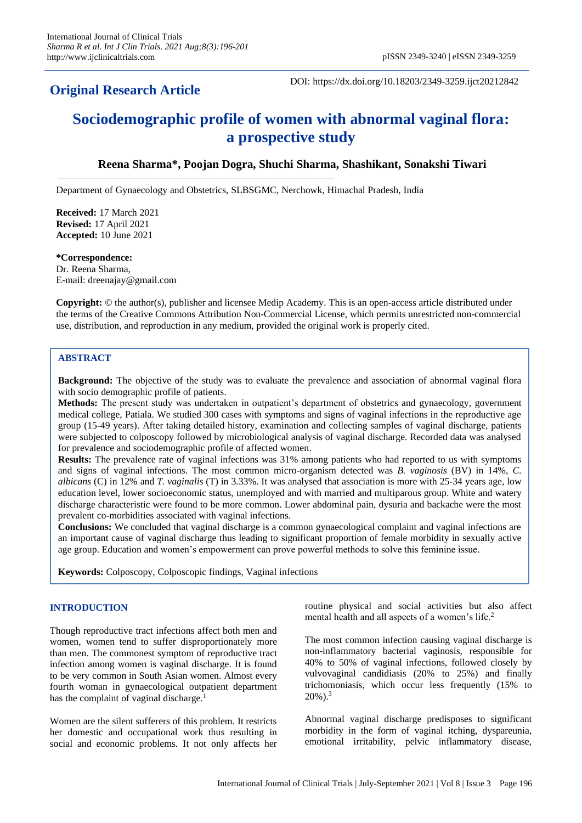# **Original Research Article**

DOI: https://dx.doi.org/10.18203/2349-3259.ijct20212842

# **Sociodemographic profile of women with abnormal vaginal flora: a prospective study**

# **Reena Sharma\*, Poojan Dogra, Shuchi Sharma, Shashikant, Sonakshi Tiwari**

Department of Gynaecology and Obstetrics, SLBSGMC, Nerchowk, Himachal Pradesh, India

**Received:** 17 March 2021 **Revised:** 17 April 2021 **Accepted:** 10 June 2021

#### **\*Correspondence:**

Dr. Reena Sharma, E-mail: dreenajay@gmail.com

**Copyright:** © the author(s), publisher and licensee Medip Academy. This is an open-access article distributed under the terms of the Creative Commons Attribution Non-Commercial License, which permits unrestricted non-commercial use, distribution, and reproduction in any medium, provided the original work is properly cited.

#### **ABSTRACT**

**Background:** The objective of the study was to evaluate the prevalence and association of abnormal vaginal flora with socio demographic profile of patients.

**Methods:** The present study was undertaken in outpatient's department of obstetrics and gynaecology, government medical college, Patiala. We studied 300 cases with symptoms and signs of vaginal infections in the reproductive age group (15-49 years). After taking detailed history, examination and collecting samples of vaginal discharge, patients were subjected to colposcopy followed by microbiological analysis of vaginal discharge. Recorded data was analysed for prevalence and sociodemographic profile of affected women.

**Results:** The prevalence rate of vaginal infections was 31% among patients who had reported to us with symptoms and signs of vaginal infections. The most common micro-organism detected was *B. vaginosis* (BV) in 14%, *C. albicans* (C) in 12% and *T. vaginalis* (T) in 3.33%. It was analysed that association is more with 25-34 years age, low education level, lower socioeconomic status, unemployed and with married and multiparous group. White and watery discharge characteristic were found to be more common. Lower abdominal pain, dysuria and backache were the most prevalent co-morbidities associated with vaginal infections.

**Conclusions:** We concluded that vaginal discharge is a common gynaecological complaint and vaginal infections are an important cause of vaginal discharge thus leading to significant proportion of female morbidity in sexually active age group. Education and women's empowerment can prove powerful methods to solve this feminine issue.

**Keywords:** Colposcopy, Colposcopic findings, Vaginal infections

#### **INTRODUCTION**

Though reproductive tract infections affect both men and women, women tend to suffer disproportionately more than men. The commonest symptom of reproductive tract infection among women is vaginal discharge. It is found to be very common in South Asian women. Almost every fourth woman in gynaecological outpatient department has the complaint of vaginal discharge.<sup>1</sup>

Women are the silent sufferers of this problem. It restricts her domestic and occupational work thus resulting in social and economic problems. It not only affects her routine physical and social activities but also affect mental health and all aspects of a women's life.<sup>2</sup>

The most common infection causing vaginal discharge is non-inflammatory bacterial vaginosis, responsible for 40% to 50% of vaginal infections, followed closely by vulvovaginal candidiasis (20% to 25%) and finally trichomoniasis, which occur less frequently (15% to  $20\%$ ).<sup>3</sup>

Abnormal vaginal discharge predisposes to significant morbidity in the form of vaginal itching, dyspareunia, emotional irritability, pelvic inflammatory disease,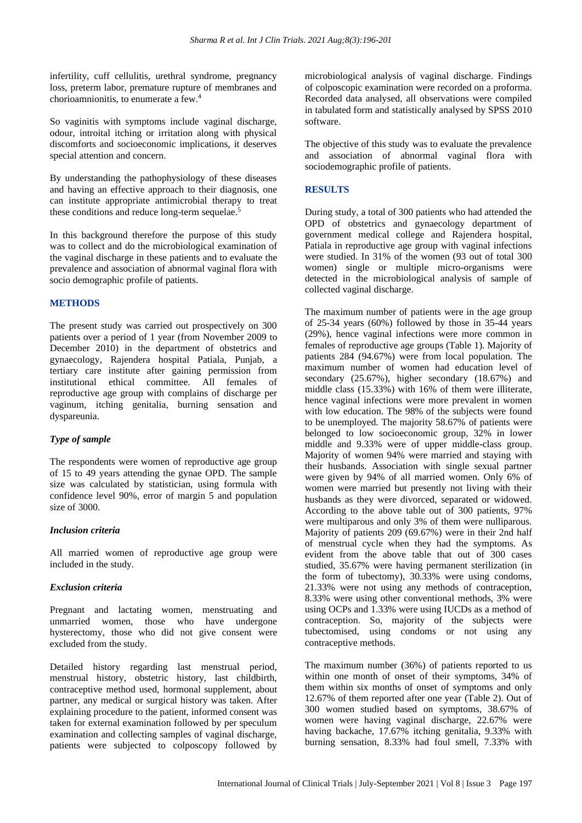infertility, cuff cellulitis, urethral syndrome, pregnancy loss, preterm labor, premature rupture of membranes and chorioamnionitis, to enumerate a few.<sup>4</sup>

So vaginitis with symptoms include vaginal discharge, odour, introital itching or irritation along with physical discomforts and socioeconomic implications, it deserves special attention and concern.

By understanding the pathophysiology of these diseases and having an effective approach to their diagnosis, one can institute appropriate antimicrobial therapy to treat these conditions and reduce long-term sequelae.<sup>5</sup>

In this background therefore the purpose of this study was to collect and do the microbiological examination of the vaginal discharge in these patients and to evaluate the prevalence and association of abnormal vaginal flora with socio demographic profile of patients.

### **METHODS**

The present study was carried out prospectively on 300 patients over a period of 1 year (from November 2009 to December 2010) in the department of obstetrics and gynaecology, Rajendera hospital Patiala, Punjab, a tertiary care institute after gaining permission from institutional ethical committee. All females of reproductive age group with complains of discharge per vaginum, itching genitalia, burning sensation and dyspareunia.

# *Type of sample*

The respondents were women of reproductive age group of 15 to 49 years attending the gynae OPD. The sample size was calculated by statistician, using formula with confidence level 90%, error of margin 5 and population size of 3000.

#### *Inclusion criteria*

All married women of reproductive age group were included in the study.

#### *Exclusion criteria*

Pregnant and lactating women, menstruating and unmarried women, those who have undergone hysterectomy, those who did not give consent were excluded from the study.

Detailed history regarding last menstrual period, menstrual history, obstetric history, last childbirth, contraceptive method used, hormonal supplement, about partner, any medical or surgical history was taken. After explaining procedure to the patient, informed consent was taken for external examination followed by per speculum examination and collecting samples of vaginal discharge, patients were subjected to colposcopy followed by

microbiological analysis of vaginal discharge. Findings of colposcopic examination were recorded on a proforma. Recorded data analysed, all observations were compiled in tabulated form and statistically analysed by SPSS 2010 software.

The objective of this study was to evaluate the prevalence and association of abnormal vaginal flora with sociodemographic profile of patients.

# **RESULTS**

During study, a total of 300 patients who had attended the OPD of obstetrics and gynaecology department of government medical college and Rajendera hospital, Patiala in reproductive age group with vaginal infections were studied. In 31% of the women (93 out of total 300 women) single or multiple micro-organisms were detected in the microbiological analysis of sample of collected vaginal discharge.

The maximum number of patients were in the age group of 25-34 years (60%) followed by those in 35-44 years (29%), hence vaginal infections were more common in females of reproductive age groups (Table 1). Majority of patients 284 (94.67%) were from local population. The maximum number of women had education level of secondary (25.67%), higher secondary (18.67%) and middle class (15.33%) with 16% of them were illiterate, hence vaginal infections were more prevalent in women with low education. The 98% of the subjects were found to be unemployed. The majority 58.67% of patients were belonged to low socioeconomic group, 32% in lower middle and 9.33% were of upper middle-class group. Majority of women 94% were married and staying with their husbands. Association with single sexual partner were given by 94% of all married women. Only 6% of women were married but presently not living with their husbands as they were divorced, separated or widowed. According to the above table out of 300 patients, 97% were multiparous and only 3% of them were nulliparous. Majority of patients 209 (69.67%) were in their 2nd half of menstrual cycle when they had the symptoms. As evident from the above table that out of 300 cases studied, 35.67% were having permanent sterilization (in the form of tubectomy), 30.33% were using condoms, 21.33% were not using any methods of contraception, 8.33% were using other conventional methods, 3% were using OCPs and 1.33% were using IUCDs as a method of contraception. So, majority of the subjects were tubectomised, using condoms or not using any contraceptive methods.

The maximum number (36%) of patients reported to us within one month of onset of their symptoms, 34% of them within six months of onset of symptoms and only 12.67% of them reported after one year (Table 2). Out of 300 women studied based on symptoms, 38.67% of women were having vaginal discharge, 22.67% were having backache, 17.67% itching genitalia, 9.33% with burning sensation, 8.33% had foul smell, 7.33% with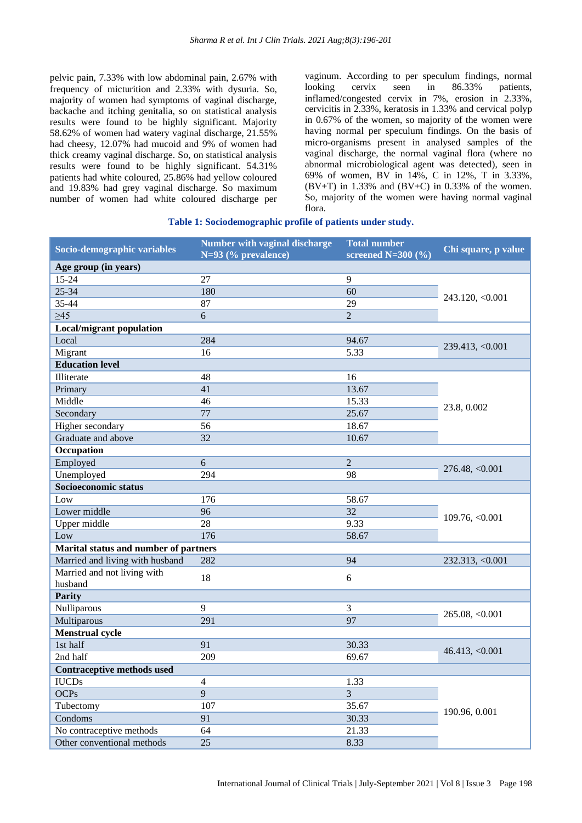pelvic pain, 7.33% with low abdominal pain, 2.67% with frequency of micturition and 2.33% with dysuria. So, majority of women had symptoms of vaginal discharge, backache and itching genitalia, so on statistical analysis results were found to be highly significant. Majority 58.62% of women had watery vaginal discharge, 21.55% had cheesy, 12.07% had mucoid and 9% of women had thick creamy vaginal discharge. So, on statistical analysis results were found to be highly significant. 54.31% patients had white coloured, 25.86% had yellow coloured and 19.83% had grey vaginal discharge. So maximum number of women had white coloured discharge per

vaginum. According to per speculum findings, normal looking cervix seen in 86.33% patients, inflamed/congested cervix in 7%, erosion in 2.33%, cervicitis in 2.33%, keratosis in 1.33% and cervical polyp in 0.67% of the women, so majority of the women were having normal per speculum findings. On the basis of micro-organisms present in analysed samples of the vaginal discharge, the normal vaginal flora (where no abnormal microbiological agent was detected), seen in 69% of women, BV in 14%, C in 12%, T in 3.33%, (BV+T) in 1.33% and (BV+C) in 0.33% of the women. So, majority of the women were having normal vaginal flora.

#### **Table 1: Sociodemographic profile of patients under study.**

| Socio-demographic variables           | <b>Number with vaginal discharge</b><br>$N=93$ (% prevalence) | <b>Total number</b><br>screened $N=300$ (%) | Chi square, p value |  |
|---------------------------------------|---------------------------------------------------------------|---------------------------------------------|---------------------|--|
| Age group (in years)                  |                                                               |                                             |                     |  |
| $15 - 24$                             | 27                                                            | 9                                           | 243.120, <0.001     |  |
| $25 - 34$                             | 180                                                           | 60                                          |                     |  |
| 35-44                                 | 87                                                            | 29                                          |                     |  |
| $\geq45$                              | 6                                                             | $\overline{2}$                              |                     |  |
| <b>Local/migrant population</b>       |                                                               |                                             |                     |  |
| Local                                 | 284                                                           | 94.67                                       | 239.413, < 0.001    |  |
| Migrant                               | 16                                                            | 5.33                                        |                     |  |
| <b>Education level</b>                |                                                               |                                             |                     |  |
| Illiterate                            | 48                                                            | 16                                          |                     |  |
| Primary                               | 41                                                            | 13.67                                       |                     |  |
| Middle                                | 46                                                            | 15.33                                       |                     |  |
| Secondary                             | 77                                                            | 25.67                                       | 23.8, 0.002         |  |
| Higher secondary                      | 56                                                            | 18.67                                       |                     |  |
| Graduate and above                    | 32                                                            | 10.67                                       |                     |  |
| Occupation                            |                                                               |                                             |                     |  |
| Employed                              | 6                                                             | $\overline{2}$                              | 276.48, < 0.001     |  |
| Unemployed                            | 294                                                           | 98                                          |                     |  |
| Socioeconomic status                  |                                                               |                                             |                     |  |
| Low                                   | 176                                                           | 58.67                                       | 109.76, < 0.001     |  |
| Lower middle                          | 96                                                            | 32                                          |                     |  |
| Upper middle                          | 28                                                            | 9.33                                        |                     |  |
| Low                                   | 176                                                           | 58.67                                       |                     |  |
| Marital status and number of partners |                                                               |                                             |                     |  |
| Married and living with husband       | 282                                                           | 94                                          | 232.313, <0.001     |  |
| Married and not living with           | 18                                                            | 6                                           |                     |  |
| husband                               |                                                               |                                             |                     |  |
| <b>Parity</b>                         |                                                               |                                             |                     |  |
| Nulliparous                           | 9                                                             | 3                                           | 265.08, <0.001      |  |
| Multiparous                           | 291                                                           | 97                                          |                     |  |
| <b>Menstrual cycle</b>                |                                                               |                                             |                     |  |
| 1st half                              | 91                                                            | 30.33                                       | 46.413, <0.001      |  |
| 2nd half                              | 209                                                           | 69.67                                       |                     |  |
| <b>Contraceptive methods used</b>     |                                                               |                                             |                     |  |
| <b>IUCDs</b>                          | $\overline{4}$                                                | 1.33                                        | 190.96, 0.001       |  |
| <b>OCPs</b>                           | $\overline{9}$                                                | $\overline{3}$                              |                     |  |
| Tubectomy                             | 107                                                           | 35.67                                       |                     |  |
| Condoms                               | 91                                                            | 30.33                                       |                     |  |
| No contraceptive methods              | 64                                                            | 21.33                                       |                     |  |
| Other conventional methods            | 25                                                            | 8.33                                        |                     |  |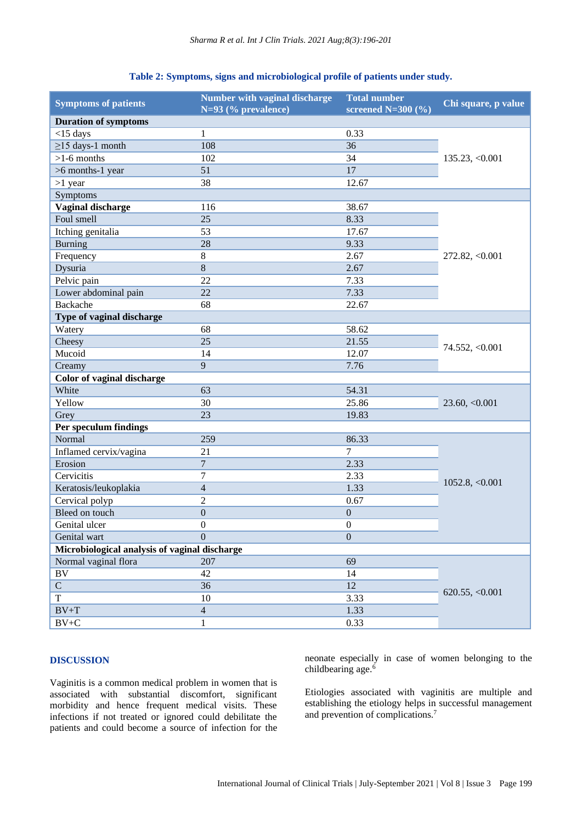#### **Table 2: Symptoms, signs and microbiological profile of patients under study.**

| <b>Symptoms of patients</b>                   | Number with vaginal discharge<br>$N=93$ (% prevalence) | <b>Total number</b><br>screened $N=300$ (%) | Chi square, p value |  |
|-----------------------------------------------|--------------------------------------------------------|---------------------------------------------|---------------------|--|
| <b>Duration of symptoms</b>                   |                                                        |                                             |                     |  |
| $<$ 15 days                                   | $\mathbf{1}$                                           | 0.33                                        | 135.23, <0.001      |  |
| $\geq$ 15 days-1 month                        | 108                                                    | 36                                          |                     |  |
| $>1-6$ months                                 | 102                                                    | 34                                          |                     |  |
| >6 months-1 year                              | 51                                                     | 17                                          |                     |  |
| $>1$ year                                     | 38                                                     | 12.67                                       |                     |  |
| Symptoms                                      |                                                        |                                             |                     |  |
| Vaginal discharge                             | 116                                                    | 38.67                                       | 272.82, < 0.001     |  |
| Foul smell                                    | 25                                                     | 8.33                                        |                     |  |
| Itching genitalia                             | 53                                                     | 17.67                                       |                     |  |
| <b>Burning</b>                                | 28                                                     | 9.33                                        |                     |  |
| Frequency                                     | $8\,$                                                  | 2.67                                        |                     |  |
| Dysuria                                       | 8                                                      | 2.67                                        |                     |  |
| Pelvic pain                                   | 22                                                     | 7.33                                        |                     |  |
| Lower abdominal pain                          | 22                                                     | 7.33                                        |                     |  |
| <b>Backache</b>                               | 68                                                     | 22.67                                       |                     |  |
| Type of vaginal discharge                     |                                                        |                                             |                     |  |
| Watery                                        | 68                                                     | 58.62                                       |                     |  |
| Cheesy                                        | 25                                                     | 21.55                                       |                     |  |
| Mucoid                                        | 14                                                     | 12.07                                       | 74.552, < 0.001     |  |
| Creamy                                        | 9                                                      | 7.76                                        |                     |  |
| Color of vaginal discharge                    |                                                        |                                             |                     |  |
| White                                         | 63                                                     | 54.31                                       | 23.60, <0.001       |  |
| Yellow                                        | 30                                                     | 25.86                                       |                     |  |
| Grey                                          | 23                                                     | 19.83                                       |                     |  |
| Per speculum findings                         |                                                        |                                             |                     |  |
| Normal                                        | 259                                                    | 86.33                                       | 1052.8, <0.001      |  |
| Inflamed cervix/vagina                        | 21                                                     | $\overline{7}$                              |                     |  |
| Erosion                                       | $\overline{7}$                                         | 2.33                                        |                     |  |
| Cervicitis                                    | $\overline{7}$                                         | 2.33                                        |                     |  |
| Keratosis/leukoplakia                         | $\overline{4}$                                         | 1.33                                        |                     |  |
| Cervical polyp                                | $\overline{2}$                                         | 0.67                                        |                     |  |
| Bleed on touch                                | $\boldsymbol{0}$                                       | $\boldsymbol{0}$                            |                     |  |
| Genital ulcer                                 | $\overline{0}$                                         | $\boldsymbol{0}$                            |                     |  |
| Genital wart                                  | $\mathbf{0}$                                           | $\boldsymbol{0}$                            |                     |  |
| Microbiological analysis of vaginal discharge |                                                        |                                             |                     |  |
| Normal vaginal flora                          | 207                                                    | 69                                          | 620.55, <0.001      |  |
| BV                                            | 42                                                     | 14                                          |                     |  |
| $\mathbf C$                                   | 36                                                     | 12                                          |                     |  |
| T                                             | 10                                                     | 3.33                                        |                     |  |
| $BV+T$                                        | $\overline{4}$                                         | 1.33                                        |                     |  |
| $\rm BV{+}C$                                  | $\mathbf{1}$                                           | 0.33                                        |                     |  |

#### **DISCUSSION**

Vaginitis is a common medical problem in women that is associated with substantial discomfort, significant morbidity and hence frequent medical visits. These infections if not treated or ignored could debilitate the patients and could become a source of infection for the neonate especially in case of women belonging to the childbearing age.<sup>6</sup>

Etiologies associated with vaginitis are multiple and establishing the etiology helps in successful management and prevention of complications.7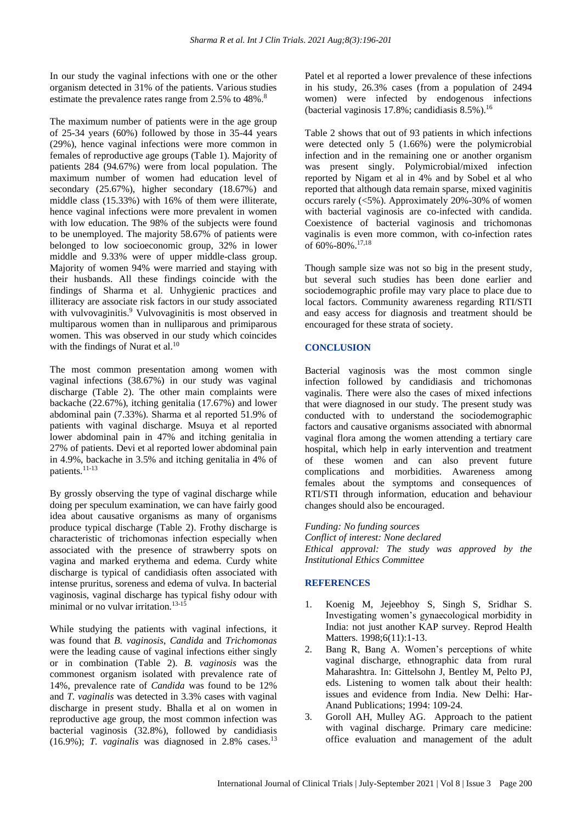In our study the vaginal infections with one or the other organism detected in 31% of the patients. Various studies estimate the prevalence rates range from 2.5% to 48%.<sup>8</sup>

The maximum number of patients were in the age group of 25-34 years (60%) followed by those in 35-44 years (29%), hence vaginal infections were more common in females of reproductive age groups (Table 1). Majority of patients 284 (94.67%) were from local population. The maximum number of women had education level of secondary (25.67%), higher secondary (18.67%) and middle class (15.33%) with 16% of them were illiterate, hence vaginal infections were more prevalent in women with low education. The 98% of the subjects were found to be unemployed. The majority 58.67% of patients were belonged to low socioeconomic group, 32% in lower middle and 9.33% were of upper middle-class group. Majority of women 94% were married and staying with their husbands. All these findings coincide with the findings of Sharma et al. Unhygienic practices and illiteracy are associate risk factors in our study associated with vulvovaginitis.<sup>9</sup> Vulvovaginitis is most observed in multiparous women than in nulliparous and primiparous women. This was observed in our study which coincides with the findings of Nurat et al.<sup>10</sup>

The most common presentation among women with vaginal infections (38.67%) in our study was vaginal discharge (Table 2). The other main complaints were backache (22.67%), itching genitalia (17.67%) and lower abdominal pain (7.33%). Sharma et al reported 51.9% of patients with vaginal discharge. Msuya et al reported lower abdominal pain in 47% and itching genitalia in 27% of patients. Devi et al reported lower abdominal pain in 4.9%, backache in 3.5% and itching genitalia in 4% of patients.11-13

By grossly observing the type of vaginal discharge while doing per speculum examination, we can have fairly good idea about causative organisms as many of organisms produce typical discharge (Table 2). Frothy discharge is characteristic of trichomonas infection especially when associated with the presence of strawberry spots on vagina and marked erythema and edema. Curdy white discharge is typical of candidiasis often associated with intense pruritus, soreness and edema of vulva. In bacterial vaginosis, vaginal discharge has typical fishy odour with minimal or no vulvar irritation.<sup>13-15</sup>

While studying the patients with vaginal infections, it was found that *B. vaginosis*, *Candida* and *Trichomonas* were the leading cause of vaginal infections either singly or in combination (Table 2). *B. vaginosis* was the commonest organism isolated with prevalence rate of 14%, prevalence rate of *Candida* was found to be 12% and *T. vaginalis* was detected in 3.3% cases with vaginal discharge in present study. Bhalla et al on women in reproductive age group, the most common infection was bacterial vaginosis (32.8%), followed by candidiasis  $(16.9\%)$ ; *T. vaginalis* was diagnosed in 2.8% cases.<sup>13</sup>

Patel et al reported a lower prevalence of these infections in his study, 26.3% cases (from a population of 2494 women) were infected by endogenous infections (bacterial vaginosis  $17.8\%$ ; candidiasis  $8.5\%$ ).<sup>16</sup>

Table 2 shows that out of 93 patients in which infections were detected only 5 (1.66%) were the polymicrobial infection and in the remaining one or another organism was present singly. Polymicrobial/mixed infection reported by Nigam et al in 4% and by Sobel et al who reported that although data remain sparse, mixed vaginitis occurs rarely (<5%). Approximately 20%-30% of women with bacterial vaginosis are co-infected with candida. Coexistence of bacterial vaginosis and trichomonas vaginalis is even more common, with co-infection rates of 60%-80%.17,18

Though sample size was not so big in the present study, but several such studies has been done earlier and sociodemographic profile may vary place to place due to local factors. Community awareness regarding RTI/STI and easy access for diagnosis and treatment should be encouraged for these strata of society.

#### **CONCLUSION**

Bacterial vaginosis was the most common single infection followed by candidiasis and trichomonas vaginalis. There were also the cases of mixed infections that were diagnosed in our study. The present study was conducted with to understand the sociodemographic factors and causative organisms associated with abnormal vaginal flora among the women attending a tertiary care hospital, which help in early intervention and treatment of these women and can also prevent future complications and morbidities. Awareness among females about the symptoms and consequences of RTI/STI through information, education and behaviour changes should also be encouraged.

*Funding: No funding sources*

*Conflict of interest: None declared Ethical approval: The study was approved by the Institutional Ethics Committee*

#### **REFERENCES**

- 1. Koenig M, Jejeebhoy S, Singh S, Sridhar S. Investigating women's gynaecological morbidity in India: not just another KAP survey. Reprod Health Matters. 1998;6(11):1-13.
- 2. Bang R, Bang A. Women's perceptions of white vaginal discharge, ethnographic data from rural Maharashtra. In: Gittelsohn J, Bentley M, Pelto PJ, eds. Listening to women talk about their health: issues and evidence from India. New Delhi: Har-Anand Publications; 1994: 109-24.
- 3. Goroll AH, Mulley AG. Approach to the patient with vaginal discharge. Primary care medicine: office evaluation and management of the adult